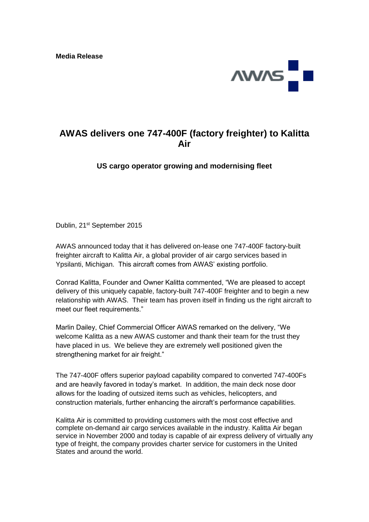

## **AWAS delivers one 747-400F (factory freighter) to Kalitta Air**

**US cargo operator growing and modernising fleet**

Dublin, 21<sup>st</sup> September 2015

AWAS announced today that it has delivered on-lease one 747-400F factory-built freighter aircraft to Kalitta Air, a global provider of air cargo services based in Ypsilanti, Michigan. This aircraft comes from AWAS' existing portfolio.

Conrad Kalitta, Founder and Owner Kalitta commented, "We are pleased to accept delivery of this uniquely capable, factory-built 747-400F freighter and to begin a new relationship with AWAS. Their team has proven itself in finding us the right aircraft to meet our fleet requirements."

Marlin Dailey, Chief Commercial Officer AWAS remarked on the delivery, "We welcome Kalitta as a new AWAS customer and thank their team for the trust they have placed in us. We believe they are extremely well positioned given the strengthening market for air freight."

The 747-400F offers superior payload capability compared to converted 747-400Fs and are heavily favored in today's market. In addition, the main deck nose door allows for the loading of outsized items such as vehicles, helicopters, and construction materials, further enhancing the aircraft's performance capabilities.

Kalitta Air is committed to providing customers with the most cost effective and complete on-demand air cargo services available in the industry. Kalitta Air began service in November 2000 and today is capable of air express delivery of virtually any type of freight, the company provides charter service for customers in the United States and around the world.